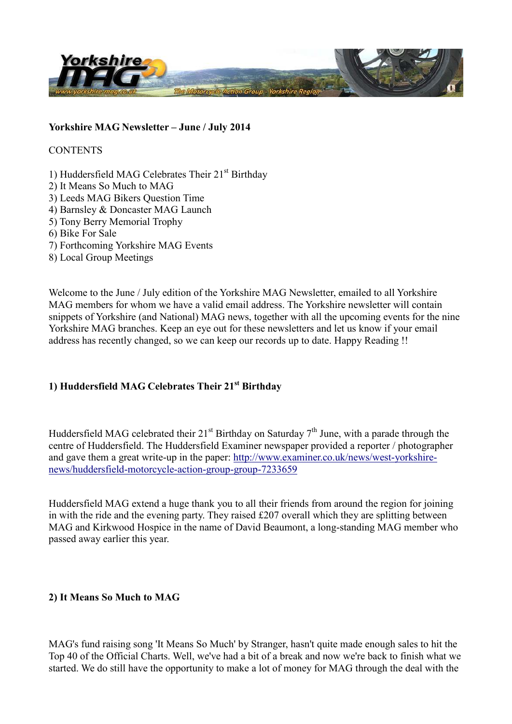

#### **Yorkshire MAG Newsletter – June / July 2014**

**CONTENTS** 

1) Huddersfield MAG Celebrates Their 21<sup>st</sup> Birthday 2) It Means So Much to MAG 3) Leeds MAG Bikers Question Time 4) Barnsley & Doncaster MAG Launch 5) Tony Berry Memorial Trophy 6) Bike For Sale 7) Forthcoming Yorkshire MAG Events 8) Local Group Meetings

Welcome to the June / July edition of the Yorkshire MAG Newsletter, emailed to all Yorkshire MAG members for whom we have a valid email address. The Yorkshire newsletter will contain snippets of Yorkshire (and National) MAG news, together with all the upcoming events for the nine Yorkshire MAG branches. Keep an eye out for these newsletters and let us know if your email address has recently changed, so we can keep our records up to date. Happy Reading !!

# **1) Huddersfield MAG Celebrates Their 21st Birthday**

Huddersfield MAG celebrated their  $21<sup>st</sup>$  Birthday on Saturday  $7<sup>th</sup>$  June, with a parade through the centre of Huddersfield. The Huddersfield Examiner newspaper provided a reporter / photographer and gave them a great write-up in the paper: http://www.examiner.co.uk/news/west-yorkshirenews/huddersfield-motorcycle-action-group-group-7233659

Huddersfield MAG extend a huge thank you to all their friends from around the region for joining in with the ride and the evening party. They raised £207 overall which they are splitting between MAG and Kirkwood Hospice in the name of David Beaumont, a long-standing MAG member who passed away earlier this year.

### **2) It Means So Much to MAG**

MAG's fund raising song 'It Means So Much' by Stranger, hasn't quite made enough sales to hit the Top 40 of the Official Charts. Well, we've had a bit of a break and now we're back to finish what we started. We do still have the opportunity to make a lot of money for MAG through the deal with the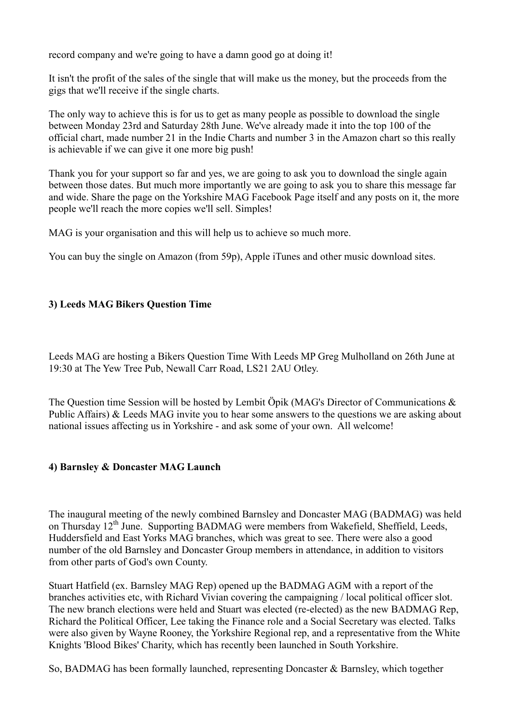record company and we're going to have a damn good go at doing it!

It isn't the profit of the sales of the single that will make us the money, but the proceeds from the gigs that we'll receive if the single charts.

The only way to achieve this is for us to get as many people as possible to download the single between Monday 23rd and Saturday 28th June. We've already made it into the top 100 of the official chart, made number 21 in the Indie Charts and number 3 in the Amazon chart so this really is achievable if we can give it one more big push!

Thank you for your support so far and yes, we are going to ask you to download the single again between those dates. But much more importantly we are going to ask you to share this message far and wide. Share the page on the Yorkshire MAG Facebook Page itself and any posts on it, the more people we'll reach the more copies we'll sell. Simples!

MAG is your organisation and this will help us to achieve so much more.

You can buy the single on Amazon (from 59p), Apple iTunes and other music download sites.

### **3) Leeds MAG Bikers Question Time**

Leeds MAG are hosting a Bikers Question Time With Leeds MP Greg Mulholland on 26th June at 19:30 at The Yew Tree Pub, Newall Carr Road, LS21 2AU Otley.

The Question time Session will be hosted by Lembit Öpik (MAG's Director of Communications & Public Affairs) & Leeds MAG invite you to hear some answers to the questions we are asking about national issues affecting us in Yorkshire - and ask some of your own. All welcome!

### **4) Barnsley & Doncaster MAG Launch**

The inaugural meeting of the newly combined Barnsley and Doncaster MAG (BADMAG) was held on Thursday 12<sup>th</sup> June. Supporting BADMAG were members from Wakefield, Sheffield, Leeds, Huddersfield and East Yorks MAG branches, which was great to see. There were also a good number of the old Barnsley and Doncaster Group members in attendance, in addition to visitors from other parts of God's own County.

Stuart Hatfield (ex. Barnsley MAG Rep) opened up the BADMAG AGM with a report of the branches activities etc, with Richard Vivian covering the campaigning / local political officer slot. The new branch elections were held and Stuart was elected (re-elected) as the new BADMAG Rep, Richard the Political Officer, Lee taking the Finance role and a Social Secretary was elected. Talks were also given by Wayne Rooney, the Yorkshire Regional rep, and a representative from the White Knights 'Blood Bikes' Charity, which has recently been launched in South Yorkshire.

So, BADMAG has been formally launched, representing Doncaster & Barnsley, which together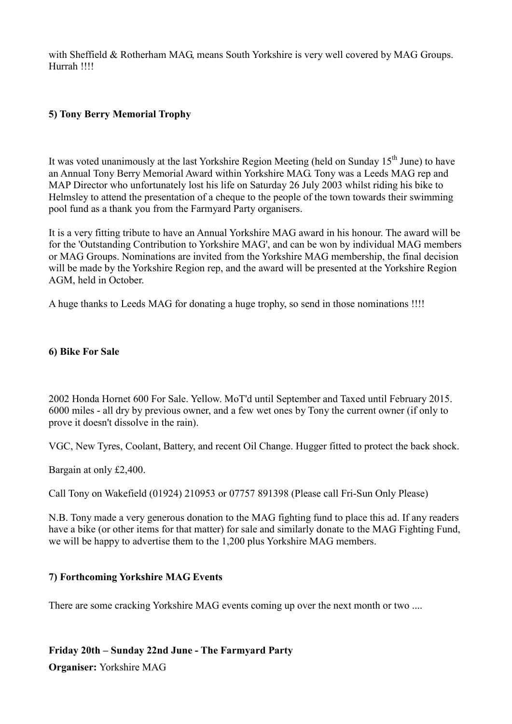with Sheffield & Rotherham MAG, means South Yorkshire is very well covered by MAG Groups. Hurrah !!!!

### **5) Tony Berry Memorial Trophy**

It was voted unanimously at the last Yorkshire Region Meeting (held on Sunday 15<sup>th</sup> June) to have an Annual Tony Berry Memorial Award within Yorkshire MAG. Tony was a Leeds MAG rep and MAP Director who unfortunately lost his life on Saturday 26 July 2003 whilst riding his bike to Helmsley to attend the presentation of a cheque to the people of the town towards their swimming pool fund as a thank you from the Farmyard Party organisers.

It is a very fitting tribute to have an Annual Yorkshire MAG award in his honour. The award will be for the 'Outstanding Contribution to Yorkshire MAG', and can be won by individual MAG members or MAG Groups. Nominations are invited from the Yorkshire MAG membership, the final decision will be made by the Yorkshire Region rep, and the award will be presented at the Yorkshire Region AGM, held in October.

A huge thanks to Leeds MAG for donating a huge trophy, so send in those nominations !!!!

#### **6) Bike For Sale**

2002 Honda Hornet 600 For Sale. Yellow. MoT'd until September and Taxed until February 2015. 6000 miles - all dry by previous owner, and a few wet ones by Tony the current owner (if only to prove it doesn't dissolve in the rain).

VGC, New Tyres, Coolant, Battery, and recent Oil Change. Hugger fitted to protect the back shock.

Bargain at only £2,400.

Call Tony on Wakefield (01924) 210953 or 07757 891398 (Please call Fri-Sun Only Please)

N.B. Tony made a very generous donation to the MAG fighting fund to place this ad. If any readers have a bike (or other items for that matter) for sale and similarly donate to the MAG Fighting Fund, we will be happy to advertise them to the 1,200 plus Yorkshire MAG members.

### **7) Forthcoming Yorkshire MAG Events**

There are some cracking Yorkshire MAG events coming up over the next month or two ....

#### **Friday 20th – Sunday 22nd June - The Farmyard Party**

**Organiser:** Yorkshire MAG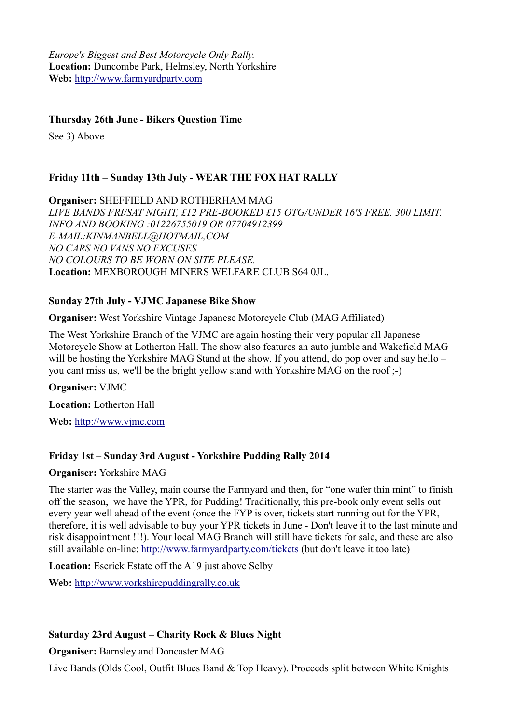*Europe's Biggest and Best Motorcycle Only Rally.* **Location:** Duncombe Park, Helmsley, North Yorkshire **Web:** http://www.farmyardparty.com

### **Thursday 26th June - Bikers Question Time**

See 3) Above

### **Friday 11th – Sunday 13th July - WEAR THE FOX HAT RALLY**

**Organiser:** SHEFFIELD AND ROTHERHAM MAG *LIVE BANDS FRI/SAT NIGHT, £12 PRE-BOOKED £15 OTG/UNDER 16'S FREE. 300 LIMIT. INFO AND BOOKING :01226755019 OR 07704912399 E-MAIL:KINMANBELL@HOTMAIL,COM NO CARS NO VANS NO EXCUSES NO COLOURS TO BE WORN ON SITE PLEASE.* **Location:** MEXBOROUGH MINERS WELFARE CLUB S64 0JL.

### **Sunday 27th July - VJMC Japanese Bike Show**

**Organiser:** West Yorkshire Vintage Japanese Motorcycle Club (MAG Affiliated)

The West Yorkshire Branch of the VJMC are again hosting their very popular all Japanese Motorcycle Show at Lotherton Hall. The show also features an auto jumble and Wakefield MAG will be hosting the Yorkshire MAG Stand at the show. If you attend, do pop over and say hello – you cant miss us, we'll be the bright yellow stand with Yorkshire MAG on the roof ;-)

**Organiser:** VJMC

**Location:** Lotherton Hall

**Web:** http://www.vjmc.com

### **Friday 1st – Sunday 3rd August - Yorkshire Pudding Rally 2014**

**Organiser:** Yorkshire MAG

The starter was the Valley, main course the Farmyard and then, for "one wafer thin mint" to finish off the season, we have the YPR, for Pudding! Traditionally, this pre-book only event sells out every year well ahead of the event (once the FYP is over, tickets start running out for the YPR, therefore, it is well advisable to buy your YPR tickets in June - Don't leave it to the last minute and risk disappointment !!!). Your local MAG Branch will still have tickets for sale, and these are also still available on-line: http://www.farmyardparty.com/tickets (but don't leave it too late)

**Location:** Escrick Estate off the A19 just above Selby

**Web:** http://www.yorkshirepuddingrally.co.uk

### **Saturday 23rd August – Charity Rock & Blues Night**

**Organiser:** Barnsley and Doncaster MAG

Live Bands (Olds Cool, Outfit Blues Band & Top Heavy). Proceeds split between White Knights